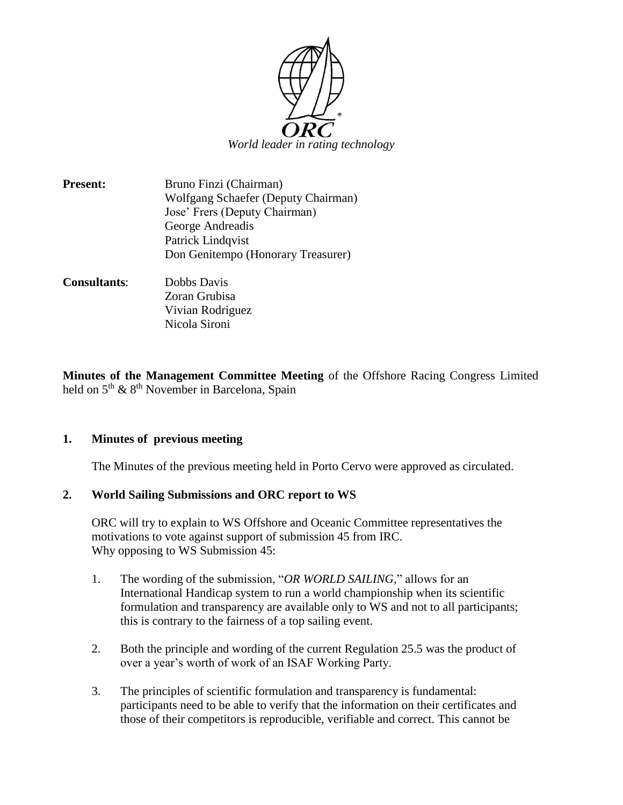

**Present:** Bruno Finzi (Chairman) Wolfgang Schaefer (Deputy Chairman) Jose' Frers (Deputy Chairman) George Andreadis Patrick Lindqvist Don Genitempo (Honorary Treasurer)

**Consultants**: Dobbs Davis Zoran Grubisa Vivian Rodriguez Nicola Sironi

**Minutes of the Management Committee Meeting** of the Offshore Racing Congress Limited held on  $5<sup>th</sup>$  &  $8<sup>th</sup>$  November in Barcelona, Spain

## **1. Minutes of previous meeting**

The Minutes of the previous meeting held in Porto Cervo were approved as circulated.

## **2. World Sailing Submissions and ORC report to WS**

ORC will try to explain to WS Offshore and Oceanic Committee representatives the motivations to vote against support of submission 45 from IRC. Why opposing to WS Submission 45:

- 1. The wording of the submission, "*OR WORLD SAILING,*" allows for an International Handicap system to run a world championship when its scientific formulation and transparency are available only to WS and not to all participants; this is contrary to the fairness of a top sailing event.
- 2. Both the principle and wording of the current Regulation 25.5 was the product of over a year's worth of work of an ISAF Working Party.
- 3. The principles of scientific formulation and transparency is fundamental: participants need to be able to verify that the information on their certificates and those of their competitors is reproducible, verifiable and correct. This cannot be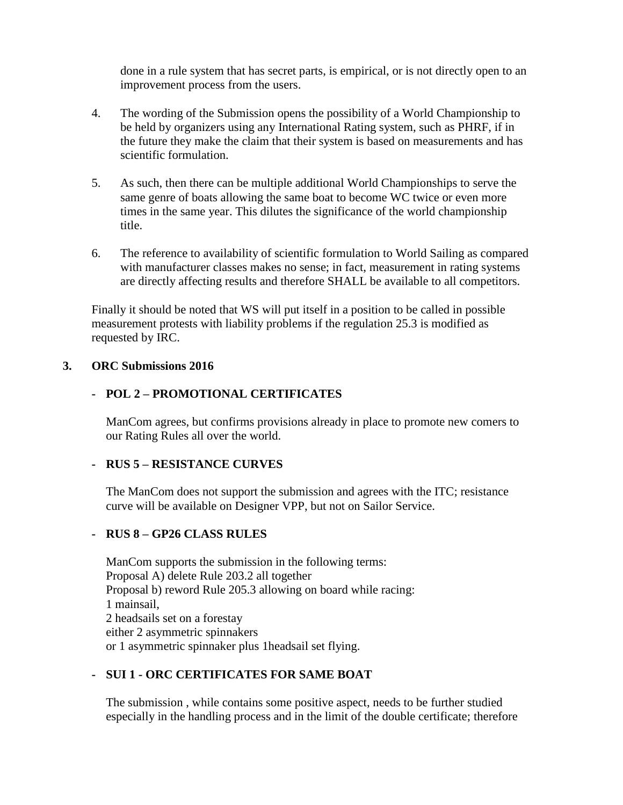done in a rule system that has secret parts, is empirical, or is not directly open to an improvement process from the users.

- 4. The wording of the Submission opens the possibility of a World Championship to be held by organizers using any International Rating system, such as PHRF, if in the future they make the claim that their system is based on measurements and has scientific formulation.
- 5. As such, then there can be multiple additional World Championships to serve the same genre of boats allowing the same boat to become WC twice or even more times in the same year. This dilutes the significance of the world championship title.
- 6. The reference to availability of scientific formulation to World Sailing as compared with manufacturer classes makes no sense; in fact, measurement in rating systems are directly affecting results and therefore SHALL be available to all competitors.

Finally it should be noted that WS will put itself in a position to be called in possible measurement protests with liability problems if the regulation 25.3 is modified as requested by IRC.

### **3. ORC Submissions 2016**

## **- POL 2 – PROMOTIONAL CERTIFICATES**

ManCom agrees, but confirms provisions already in place to promote new comers to our Rating Rules all over the world.

## **- RUS 5 – RESISTANCE CURVES**

The ManCom does not support the submission and agrees with the ITC; resistance curve will be available on Designer VPP, but not on Sailor Service.

### **- RUS 8 – GP26 CLASS RULES**

ManCom supports the submission in the following terms: Proposal A) delete Rule 203.2 all together Proposal b) reword Rule 205.3 allowing on board while racing: 1 mainsail, 2 headsails set on a forestay either 2 asymmetric spinnakers or 1 asymmetric spinnaker plus 1headsail set flying.

### **- SUI 1 - ORC CERTIFICATES FOR SAME BOAT**

The submission , while contains some positive aspect, needs to be further studied especially in the handling process and in the limit of the double certificate; therefore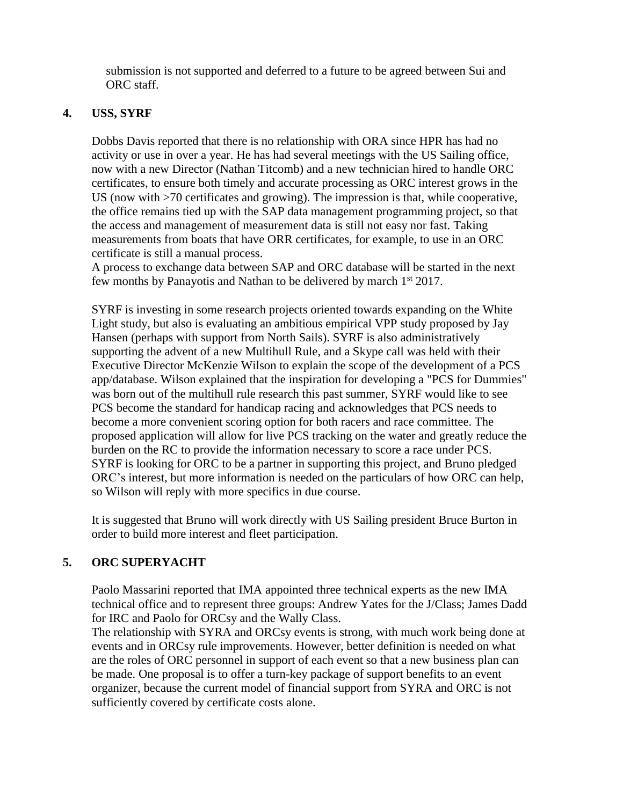submission is not supported and deferred to a future to be agreed between Sui and ORC staff.

## **4. USS, SYRF**

Dobbs Davis reported that there is no relationship with ORA since HPR has had no activity or use in over a year. He has had several meetings with the US Sailing office, now with a new Director (Nathan Titcomb) and a new technician hired to handle ORC certificates, to ensure both timely and accurate processing as ORC interest grows in the US (now with >70 certificates and growing). The impression is that, while cooperative, the office remains tied up with the SAP data management programming project, so that the access and management of measurement data is still not easy nor fast. Taking measurements from boats that have ORR certificates, for example, to use in an ORC certificate is still a manual process.

A process to exchange data between SAP and ORC database will be started in the next few months by Panayotis and Nathan to be delivered by march 1st 2017.

SYRF is investing in some research projects oriented towards expanding on the White Light study, but also is evaluating an ambitious empirical VPP study proposed by Jay Hansen (perhaps with support from North Sails). SYRF is also administratively supporting the advent of a new Multihull Rule, and a Skype call was held with their Executive Director McKenzie Wilson to explain the scope of the development of a PCS app/database. Wilson explained that the inspiration for developing a "PCS for Dummies" was born out of the multihull rule research this past summer, SYRF would like to see PCS become the standard for handicap racing and acknowledges that PCS needs to become a more convenient scoring option for both racers and race committee. The proposed application will allow for live PCS tracking on the water and greatly reduce the burden on the RC to provide the information necessary to score a race under PCS. SYRF is looking for ORC to be a partner in supporting this project, and Bruno pledged ORC's interest, but more information is needed on the particulars of how ORC can help, so Wilson will reply with more specifics in due course.

It is suggested that Bruno will work directly with US Sailing president Bruce Burton in order to build more interest and fleet participation.

# **5. ORC SUPERYACHT**

Paolo Massarini reported that IMA appointed three technical experts as the new IMA technical office and to represent three groups: Andrew Yates for the J/Class; James Dadd for IRC and Paolo for ORCsy and the Wally Class.

The relationship with SYRA and ORCsy events is strong, with much work being done at events and in ORCsy rule improvements. However, better definition is needed on what are the roles of ORC personnel in support of each event so that a new business plan can be made. One proposal is to offer a turn-key package of support benefits to an event organizer, because the current model of financial support from SYRA and ORC is not sufficiently covered by certificate costs alone.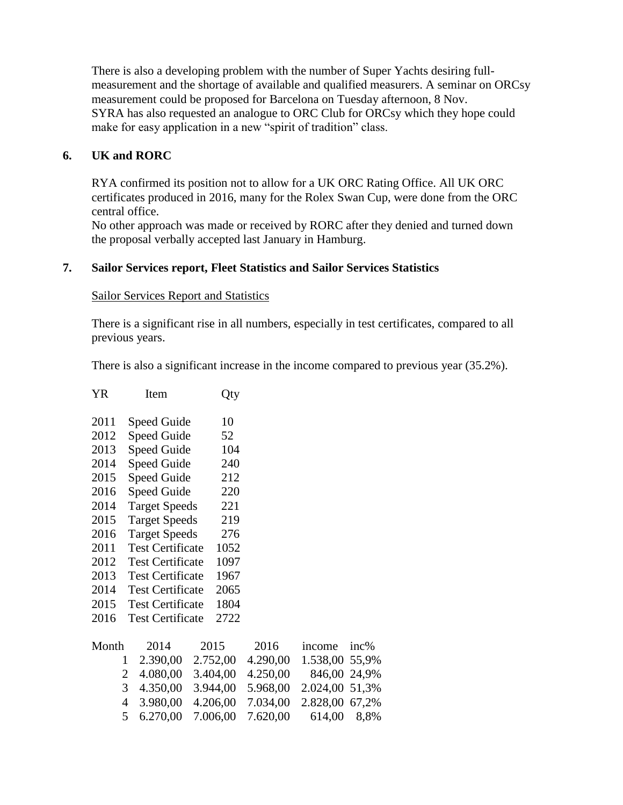There is also a developing problem with the number of Super Yachts desiring fullmeasurement and the shortage of available and qualified measurers. A seminar on ORCsy measurement could be proposed for Barcelona on Tuesday afternoon, 8 Nov. SYRA has also requested an analogue to ORC Club for ORCsy which they hope could make for easy application in a new "spirit of tradition" class.

### **6. UK and RORC**

RYA confirmed its position not to allow for a UK ORC Rating Office. All UK ORC certificates produced in 2016, many for the Rolex Swan Cup, were done from the ORC central office.

No other approach was made or received by RORC after they denied and turned down the proposal verbally accepted last January in Hamburg.

#### **7. Sailor Services report, Fleet Statistics and Sailor Services Statistics**

#### Sailor Services Report and Statistics

There is a significant rise in all numbers, especially in test certificates, compared to all previous years.

There is also a significant increase in the income compared to previous year (35.2%).

| YR    |                         | Item                    |  | Qty      |          |          |         |
|-------|-------------------------|-------------------------|--|----------|----------|----------|---------|
| 2011  |                         | Speed Guide             |  | 10       |          |          |         |
| 2012  |                         | <b>Speed Guide</b>      |  | 52       |          |          |         |
| 2013  |                         | <b>Speed Guide</b>      |  | 104      |          |          |         |
| 2014  |                         | Speed Guide             |  | 240      |          |          |         |
| 2015  |                         | Speed Guide             |  | 212      |          |          |         |
| 2016  |                         | Speed Guide             |  | 220      |          |          |         |
| 2014  |                         | <b>Target Speeds</b>    |  | 221      |          |          |         |
| 2015  |                         | <b>Target Speeds</b>    |  | 219      |          |          |         |
| 2016  |                         | <b>Target Speeds</b>    |  | 276      |          |          |         |
| 2011  |                         | <b>Test Certificate</b> |  | 1052     |          |          |         |
| 2012  |                         | <b>Test Certificate</b> |  | 1097     |          |          |         |
| 2013  | <b>Test Certificate</b> |                         |  | 1967     |          |          |         |
| 2014  | <b>Test Certificate</b> |                         |  | 2065     |          |          |         |
| 2015  |                         | <b>Test Certificate</b> |  | 1804     |          |          |         |
| 2016  |                         | <b>Test Certificate</b> |  | 2722     |          |          |         |
|       |                         |                         |  |          |          |          |         |
| Month |                         | 2014                    |  | 2015     | 2016     | income   | $inc\%$ |
|       | 1                       | 2.390,00                |  | 2.752,00 | 4.290,00 | 1.538,00 | 55,9%   |
|       | 2                       | 4.080,00                |  | 3.404,00 | 4.250,00 | 846,00   | 24,9%   |
|       | 3                       | 4.350,00                |  | 3.944,00 | 5.968,00 | 2.024,00 | 51,3%   |
|       | $\overline{4}$          | 3.980,00                |  | 4.206,00 | 7.034,00 | 2.828,00 | 67,2%   |
|       | 5                       | 6.270,00                |  | 7.006,00 | 7.620,00 | 614,00   | 8,8%    |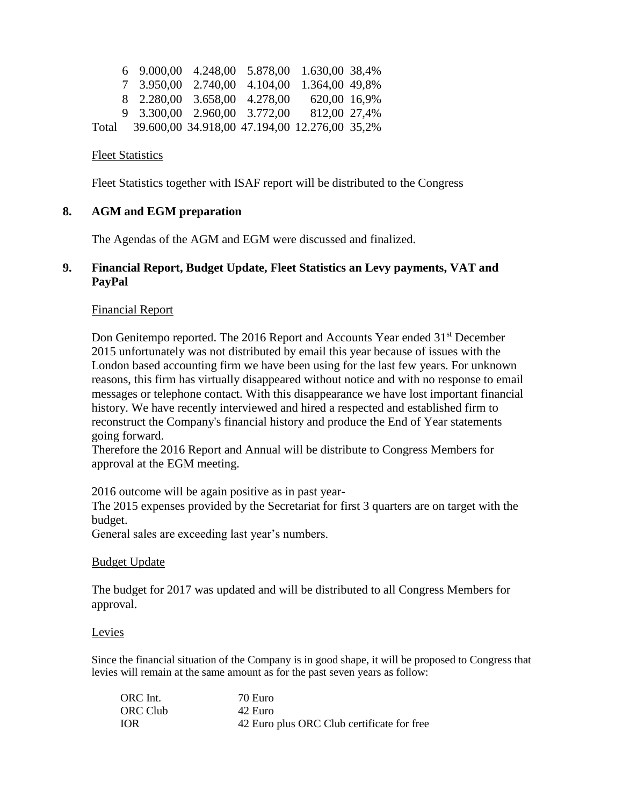|  |  | 6 9.000,00 4.248,00 5.878,00 1.630,00 38,4%         |              |  |
|--|--|-----------------------------------------------------|--------------|--|
|  |  | 7 3.950,00 2.740,00 4.104,00 1.364,00 49,8%         |              |  |
|  |  | 8 2.280,00 3.658,00 4.278,00                        | 620,00 16,9% |  |
|  |  | 9 3.300,00 2.960,00 3.772,00 812,00 27,4%           |              |  |
|  |  | Total 39.600,00 34.918,00 47.194,00 12.276,00 35,2% |              |  |

#### Fleet Statistics

Fleet Statistics together with ISAF report will be distributed to the Congress

### **8. AGM and EGM preparation**

The Agendas of the AGM and EGM were discussed and finalized.

### **9. Financial Report, Budget Update, Fleet Statistics an Levy payments, VAT and PayPal**

#### Financial Report

Don Genitempo reported. The 2016 Report and Accounts Year ended 31<sup>st</sup> December 2015 unfortunately was not distributed by email this year because of issues with the London based accounting firm we have been using for the last few years. For unknown reasons, this firm has virtually disappeared without notice and with no response to email messages or telephone contact. With this disappearance we have lost important financial history. We have recently interviewed and hired a respected and established firm to reconstruct the Company's financial history and produce the End of Year statements going forward.

Therefore the 2016 Report and Annual will be distribute to Congress Members for approval at the EGM meeting.

2016 outcome will be again positive as in past year-

The 2015 expenses provided by the Secretariat for first 3 quarters are on target with the budget.

General sales are exceeding last year's numbers.

#### Budget Update

The budget for 2017 was updated and will be distributed to all Congress Members for approval.

#### Levies

Since the financial situation of the Company is in good shape, it will be proposed to Congress that levies will remain at the same amount as for the past seven years as follow:

| ORC Int.        | 70 Euro                                    |
|-----------------|--------------------------------------------|
| <b>ORC Club</b> | 42 Euro                                    |
| <b>IOR</b>      | 42 Euro plus ORC Club certificate for free |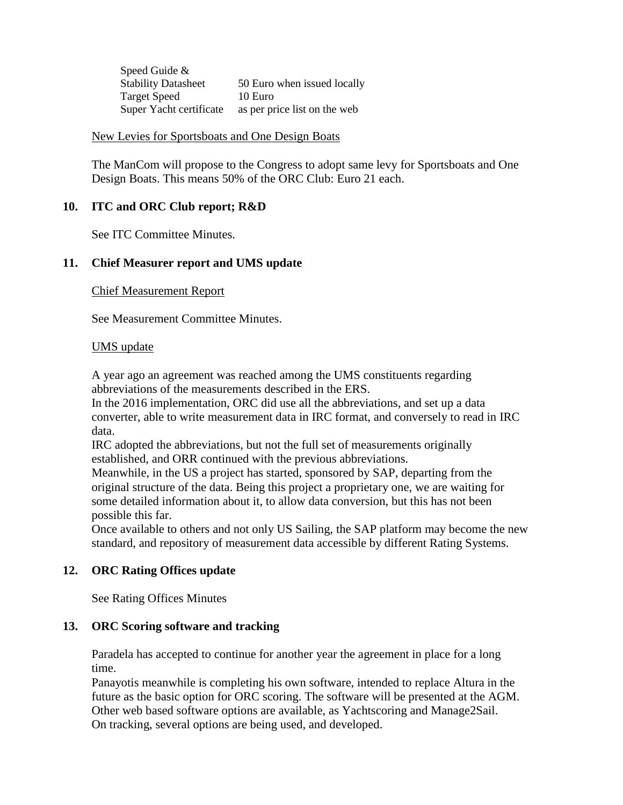Speed Guide & Stability Datasheet 50 Euro when issued locally Target Speed 10 Euro Super Yacht certificate as per price list on the web

New Levies for Sportsboats and One Design Boats

The ManCom will propose to the Congress to adopt same levy for Sportsboats and One Design Boats. This means 50% of the ORC Club: Euro 21 each.

## **10. ITC and ORC Club report; R&D**

See ITC Committee Minutes.

## **11. Chief Measurer report and UMS update**

Chief Measurement Report

See Measurement Committee Minutes.

#### UMS update

A year ago an agreement was reached among the UMS constituents regarding abbreviations of the measurements described in the ERS.

In the 2016 implementation, ORC did use all the abbreviations, and set up a data converter, able to write measurement data in IRC format, and conversely to read in IRC data.

IRC adopted the abbreviations, but not the full set of measurements originally established, and ORR continued with the previous abbreviations.

Meanwhile, in the US a project has started, sponsored by SAP, departing from the original structure of the data. Being this project a proprietary one, we are waiting for some detailed information about it, to allow data conversion, but this has not been possible this far.

Once available to others and not only US Sailing, the SAP platform may become the new standard, and repository of measurement data accessible by different Rating Systems.

### **12. ORC Rating Offices update**

See Rating Offices Minutes

### **13. ORC Scoring software and tracking**

Paradela has accepted to continue for another year the agreement in place for a long time.

Panayotis meanwhile is completing his own software, intended to replace Altura in the future as the basic option for ORC scoring. The software will be presented at the AGM. Other web based software options are available, as Yachtscoring and Manage2Sail. On tracking, several options are being used, and developed.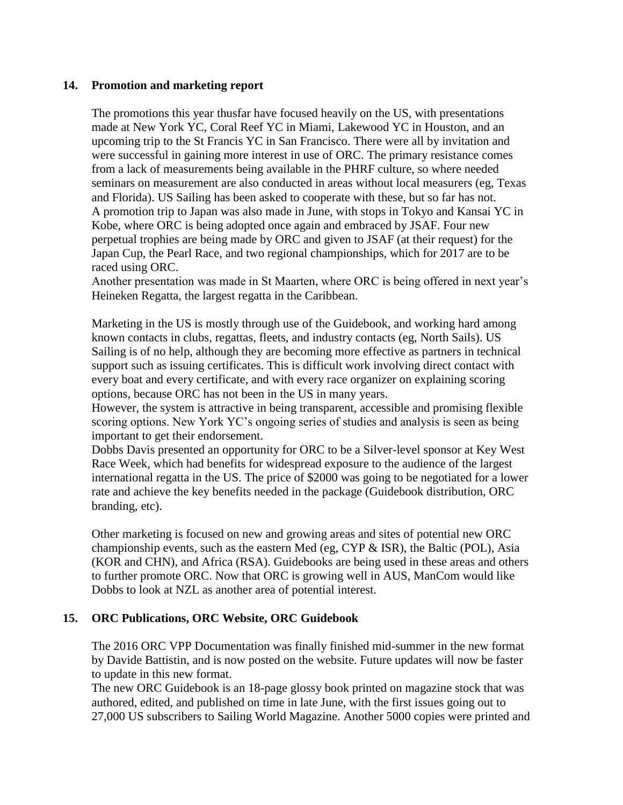### **14. Promotion and marketing report**

The promotions this year thusfar have focused heavily on the US, with presentations made at New York YC, Coral Reef YC in Miami, Lakewood YC in Houston, and an upcoming trip to the St Francis YC in San Francisco. There were all by invitation and were successful in gaining more interest in use of ORC. The primary resistance comes from a lack of measurements being available in the PHRF culture, so where needed seminars on measurement are also conducted in areas without local measurers (eg, Texas and Florida). US Sailing has been asked to cooperate with these, but so far has not. A promotion trip to Japan was also made in June, with stops in Tokyo and Kansai YC in Kobe, where ORC is being adopted once again and embraced by JSAF. Four new perpetual trophies are being made by ORC and given to JSAF (at their request) for the Japan Cup, the Pearl Race, and two regional championships, which for 2017 are to be raced using ORC.

Another presentation was made in St Maarten, where ORC is being offered in next year's Heineken Regatta, the largest regatta in the Caribbean.

Marketing in the US is mostly through use of the Guidebook, and working hard among known contacts in clubs, regattas, fleets, and industry contacts (eg, North Sails). US Sailing is of no help, although they are becoming more effective as partners in technical support such as issuing certificates. This is difficult work involving direct contact with every boat and every certificate, and with every race organizer on explaining scoring options, because ORC has not been in the US in many years.

However, the system is attractive in being transparent, accessible and promising flexible scoring options. New York YC's ongoing series of studies and analysis is seen as being important to get their endorsement.

Dobbs Davis presented an opportunity for ORC to be a Silver-level sponsor at Key West Race Week, which had benefits for widespread exposure to the audience of the largest international regatta in the US. The price of \$2000 was going to be negotiated for a lower rate and achieve the key benefits needed in the package (Guidebook distribution, ORC branding, etc).

Other marketing is focused on new and growing areas and sites of potential new ORC championship events, such as the eastern Med (eg, CYP & ISR), the Baltic (POL), Asia (KOR and CHN), and Africa (RSA). Guidebooks are being used in these areas and others to further promote ORC. Now that ORC is growing well in AUS, ManCom would like Dobbs to look at NZL as another area of potential interest.

## **15. ORC Publications, ORC Website, ORC Guidebook**

The 2016 ORC VPP Documentation was finally finished mid-summer in the new format by Davide Battistin, and is now posted on the website. Future updates will now be faster to update in this new format.

The new ORC Guidebook is an 18-page glossy book printed on magazine stock that was authored, edited, and published on time in late June, with the first issues going out to 27,000 US subscribers to Sailing World Magazine. Another 5000 copies were printed and